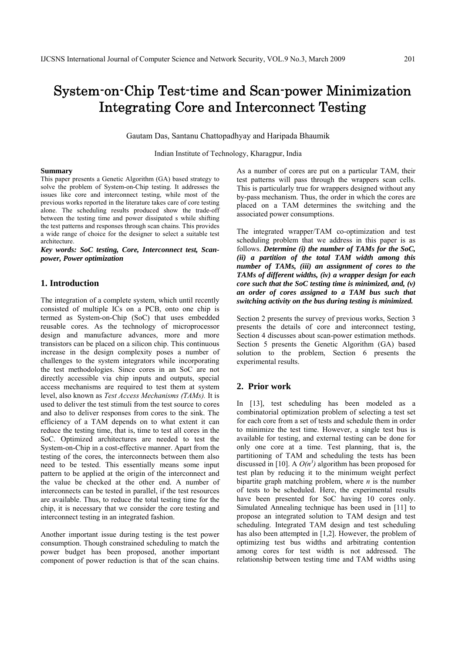# System-on-Chip Test-time and Scan-power Minimization Integrating Core and Interconnect Testing

Gautam Das, Santanu Chattopadhyay and Haripada Bhaumik

Indian Institute of Technology, Kharagpur, India

#### **Summary**

This paper presents a Genetic Algorithm (GA) based strategy to solve the problem of System-on-Chip testing. It addresses the issues like core and interconnect testing, while most of the previous works reported in the literature takes care of core testing alone. The scheduling results produced show the trade-off between the testing time and power dissipated s while shifting the test patterns and responses through scan chains. This provides a wide range of choice for the designer to select a suitable test architecture.

*Key words: SoC testing, Core, Interconnect test, Scanpower, Power optimization* 

# **1. Introduction**

The integration of a complete system, which until recently consisted of multiple ICs on a PCB, onto one chip is termed as System-on-Chip (SoC) that uses embedded reusable cores. As the technology of microprocessor design and manufacture advances, more and more transistors can be placed on a silicon chip. This continuous increase in the design complexity poses a number of challenges to the system integrators while incorporating the test methodologies. Since cores in an SoC are not directly accessible via chip inputs and outputs, special access mechanisms are required to test them at system level, also known as *Test Access Mechanisms (TAMs).* It is used to deliver the test stimuli from the test source to cores and also to deliver responses from cores to the sink. The efficiency of a TAM depends on to what extent it can reduce the testing time, that is, time to test all cores in the SoC. Optimized architectures are needed to test the System-on-Chip in a cost-effective manner. Apart from the testing of the cores, the interconnects between them also need to be tested. This essentially means some input pattern to be applied at the origin of the interconnect and the value be checked at the other end. A number of interconnects can be tested in parallel, if the test resources are available. Thus, to reduce the total testing time for the chip, it is necessary that we consider the core testing and interconnect testing in an integrated fashion.

Another important issue during testing is the test power consumption. Though constrained scheduling to match the power budget has been proposed, another important component of power reduction is that of the scan chains.

As a number of cores are put on a particular TAM, their test patterns will pass through the wrappers scan cells. This is particularly true for wrappers designed without any by-pass mechanism. Thus, the order in which the cores are placed on a TAM determines the switching and the associated power consumptions.

The integrated wrapper/TAM co-optimization and test scheduling problem that we address in this paper is as follows. *Determine (i) the number of TAMs for the SoC, (ii) a partition of the total TAM width among this number of TAMs, (iii) an assignment of cores to the TAMs of different widths, (iv) a wrapper design for each core such that the SoC testing time is minimized, and, (v) an order of cores assigned to a TAM bus such that switching activity on the bus during testing is minimized.*

Section 2 presents the survey of previous works, Section 3 presents the details of core and interconnect testing, Section 4 discusses about scan-power estimation methods. Section 5 presents the Genetic Algorithm (GA) based solution to the problem, Section 6 presents the experimental results.

# **2. Prior work**

In [13], test scheduling has been modeled as a combinatorial optimization problem of selecting a test set for each core from a set of tests and schedule them in order to minimize the test time. However, a single test bus is available for testing, and external testing can be done for only one core at a time. Test planning, that is, the partitioning of TAM and scheduling the tests has been discussed in [10]. A  $O(n^3)$  algorithm has been proposed for test plan by reducing it to the minimum weight perfect bipartite graph matching problem, where *n* is the number of tests to be scheduled. Here, the experimental results have been presented for SoC having 10 cores only. Simulated Annealing technique has been used in [11] to propose an integrated solution to TAM design and test scheduling. Integrated TAM design and test scheduling has also been attempted in [1,2]. However, the problem of optimizing test bus widths and arbitrating contention among cores for test width is not addressed. The relationship between testing time and TAM widths using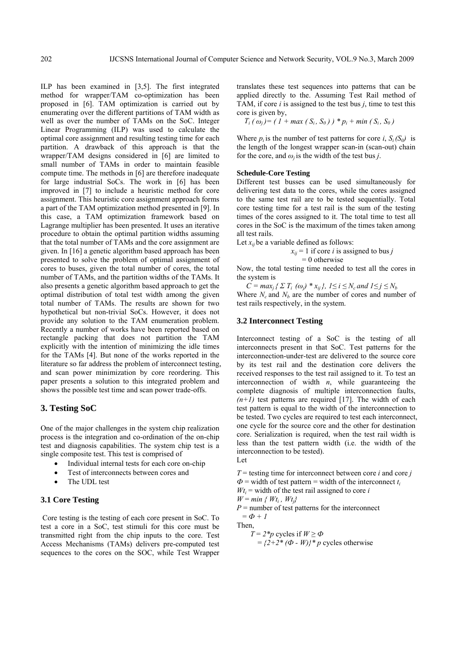ILP has been examined in [3,5]. The first integrated method for wrapper/TAM co-optimization has been proposed in [6]. TAM optimization is carried out by enumerating over the different partitions of TAM width as well as over the number of TAMs on the SoC. Integer Linear Programming (ILP) was used to calculate the optimal core assignment and resulting testing time for each partition. A drawback of this approach is that the wrapper/TAM designs considered in [6] are limited to small number of TAMs in order to maintain feasible compute time. The methods in [6] are therefore inadequate for large industrial SoCs. The work in [6] has been improved in [7] to include a heuristic method for core assignment. This heuristic core assignment approach forms a part of the TAM optimization method presented in [9]. In this case, a TAM optimization framework based on Lagrange multiplier has been presented. It uses an iterative procedure to obtain the optimal partition widths assuming that the total number of TAMs and the core assignment are given. In [16] a genetic algorithm based approach has been presented to solve the problem of optimal assignment of cores to buses, given the total number of cores, the total number of TAMs, and the partition widths of the TAMs. It also presents a genetic algorithm based approach to get the optimal distribution of total test width among the given total number of TAMs. The results are shown for two hypothetical but non-trivial SoCs. However, it does not provide any solution to the TAM enumeration problem. Recently a number of works have been reported based on rectangle packing that does not partition the TAM explicitly with the intention of minimizing the idle times for the TAMs [4]. But none of the works reported in the literature so far address the problem of interconnect testing, and scan power minimization by core reordering. This paper presents a solution to this integrated problem and shows the possible test time and scan power trade-offs.

# **3. Testing SoC**

One of the major challenges in the system chip realization process is the integration and co-ordination of the on-chip test and diagnosis capabilities. The system chip test is a single composite test. This test is comprised of

- Individual internal tests for each core on-chip
- Test of interconnects between cores and
- The UDL test

## **3.1 Core Testing**

Core testing is the testing of each core present in SoC. To test a core in a SoC, test stimuli for this core must be transmitted right from the chip inputs to the core. Test Access Mechanisms (TAMs) delivers pre-computed test sequences to the cores on the SOC, while Test Wrapper

translates these test sequences into patterns that can be applied directly to the. Assuming Test Rail method of TAM, if core *i* is assigned to the test bus *j*, time to test this core is given by,

$$
T_i(\omega_j) = (1 + \max(S_i, S_0)) * p_i + \min(S_i, S_0)
$$

Where  $p_i$  is the number of test patterns for core *i*,  $S_i(S_0)$  is the length of the longest wrapper scan-in (scan-out) chain for the core, and  $\omega_i$  is the width of the test bus *j*.

#### **Schedule-Core Testing**

Different test busses can be used simultaneously for delivering test data to the cores, while the cores assigned to the same test rail are to be tested sequentially. Total core testing time for a test rail is the sum of the testing times of the cores assigned to it. The total time to test all cores in the SoC is the maximum of the times taken among all test rails.

Let  $x_{ii}$  be a variable defined as follows:

$$
x_{ij} = 1
$$
 if core *i* is assigned to bus *j*  
= 0 otherwise

Now, the total testing time needed to test all the cores in the system is

*C* =  $max_i$  {  $\sum T_i$  (ω<sub>*j*</sub>) \*  $x_{ii}$ },  $1 \le i \le N_c$  and  $1 \le j \le N_b$ Where  $N_c$  and  $N_b$  are the number of cores and number of test rails respectively, in the system.

## **3.2 Interconnect Testing**

Interconnect testing of a SoC is the testing of all interconnects present in that SoC. Test patterns for the interconnection-under-test are delivered to the source core by its test rail and the destination core delivers the received responses to the test rail assigned to it. To test an interconnection of width  $n$ , while guaranteeing the complete diagnosis of multiple interconnection faults,  $(n+1)$  test patterns are required [17]. The width of each test pattern is equal to the width of the interconnection to be tested. Two cycles are required to test each interconnect, one cycle for the source core and the other for destination core. Serialization is required, when the test rail width is less than the test pattern width (i.e. the width of the interconnection to be tested).

Let

 $T =$  testing time for interconnect between core *i* and core *j*  $\Phi$  = width of test pattern = width of the interconnect  $t_i$  $W_t$  = width of the test rail assigned to core *i*  $W = min \{ Wt_i, Wt_j \}$  $P =$  number of test patterns for the interconnect  $= \Phi + I$ Then,

$$
T = 2 \cdot p
$$
 cycles if  $W \ge \Phi$   
=  $\{2+2 \cdot (\Phi - W)\} \cdot p$  cycles otherwise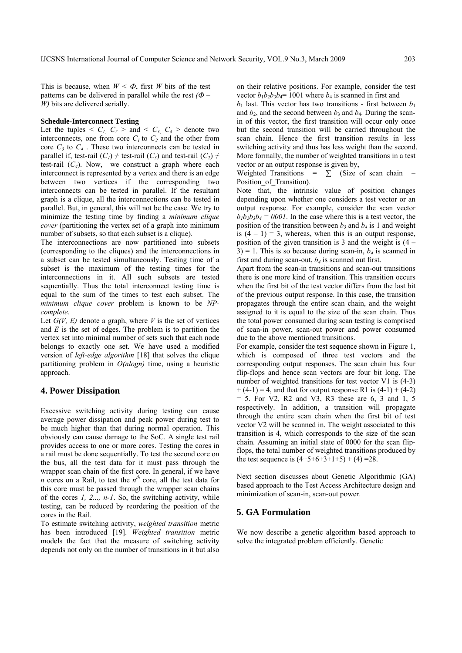This is because, when  $W < \Phi$ , first *W* bits of the test patterns can be delivered in parallel while the rest  $(\Phi -$ *W)* bits are delivered serially.

#### **Schedule-Interconnect Testing**

Let the tuples  $\langle C_L, C_2 \rangle$  and  $\langle C_3, C_4 \rangle$  denote two interconnects, one from core  $C<sub>1</sub>$  to  $C<sub>2</sub>$  and the other from core  $C_3$  to  $C_4$ . These two interconnects can be tested in parallel if, test-rail  $(C_1) \neq$  test-rail  $(C_3)$  and test-rail  $(C_2) \neq$ test-rail  $(C_4)$ . Now, we construct a graph where each interconnect is represented by a vertex and there is an edge between two vertices if the corresponding two interconnects can be tested in parallel. If the resultant graph is a clique, all the interconnections can be tested in parallel. But, in general, this will not be the case. We try to minimize the testing time by finding a *minimum clique cover* (partitioning the vertex set of a graph into minimum number of subsets, so that each subset is a clique).

The interconnections are now partitioned into subsets (corresponding to the cliques) and the interconnections in a subset can be tested simultaneously. Testing time of a subset is the maximum of the testing times for the interconnections in it. All such subsets are tested sequentially. Thus the total interconnect testing time is equal to the sum of the times to test each subset. The *minimum clique cover* problem is known to be *NPcomplete*.

Let  $G(V, E)$  denote a graph, where  $V$  is the set of vertices and *E* is the set of edges. The problem is to partition the vertex set into minimal number of sets such that each node belongs to exactly one set. We have used a modified version of *left-edge algorithm* [18] that solves the clique partitioning problem in *O(nlogn)* time, using a heuristic approach.

## **4. Power Dissipation**

Excessive switching activity during testing can cause average power dissipation and peak power during test to be much higher than that during normal operation. This obviously can cause damage to the SoC. A single test rail provides access to one or more cores. Testing the cores in a rail must be done sequentially. To test the second core on the bus, all the test data for it must pass through the wrapper scan chain of the first core. In general, if we have *n* cores on a Rail, to test the  $n^{th}$  core, all the test data for this core must be passed through the wrapper scan chains of the cores *1, 2..., n-1*. So, the switching activity, while testing, can be reduced by reordering the position of the cores in the Rail.

To estimate switching activity, *weighted transition* metric has been introduced [19]. *Weighted transition* metric models the fact that the measure of switching activity depends not only on the number of transitions in it but also

on their relative positions. For example, consider the test vector  $b_1b_2b_3b_4$ = 1001 where  $b_4$  is scanned in first and

 $b_1$  last. This vector has two transitions - first between  $b_1$ and  $b_2$ , and the second between  $b_3$  and  $b_4$ . During the scanin of this vector, the first transition will occur only once but the second transition will be carried throughout the scan chain. Hence the first transition results in less switching activity and thus has less weight than the second. More formally, the number of weighted transitions in a test vector or an output response is given by,

Weighted\_Transitions =  $\sum$  (Size\_of\_scan\_chain Position of Transition).

Note that, the intrinsic value of position changes depending upon whether one considers a test vector or an output response. For example, consider the scan vector  $b_1b_2b_3b_4 = 0001$ . In the case where this is a test vector, the position of the transition between  $b_3$  and  $b_4$  is 1 and weight is  $(4 - 1) = 3$ , whereas, when this is an output response, position of the given transition is  $3$  and the weight is  $(4 3$ ) = 1. This is so because during scan-in,  $b_4$  is scanned in first and during scan-out,  $b_4$  is scanned out first.

Apart from the scan-in transitions and scan-out transitions there is one more kind of transition. This transition occurs when the first bit of the test vector differs from the last bit of the previous output response. In this case, the transition propagates through the entire scan chain, and the weight assigned to it is equal to the size of the scan chain. Thus the total power consumed during scan testing is comprised of scan-in power, scan-out power and power consumed due to the above mentioned transitions.

For example, consider the test sequence shown in Figure 1, which is composed of three test vectors and the corresponding output responses. The scan chain has four flip-flops and hence scan vectors are four bit long. The number of weighted transitions for test vector V1 is  $(4-3)$  $+(4-1) = 4$ , and that for output response R1 is  $(4-1) + (4-2)$  $= 5.$  For V2, R2 and V3, R3 these are 6, 3 and 1, 5 respectively. In addition, a transition will propagate through the entire scan chain when the first bit of test vector V2 will be scanned in. The weight associated to this transition is 4, which corresponds to the size of the scan chain. Assuming an initial state of 0000 for the scan flipflops, the total number of weighted transitions produced by the test sequence is  $(4+5+6+3+1+5) + (4) = 28$ .

Next section discusses about Genetic Algorithmic (GA) based approach to the Test Access Architecture design and minimization of scan-in, scan-out power.

# **5. GA Formulation**

We now describe a genetic algorithm based approach to solve the integrated problem efficiently. Genetic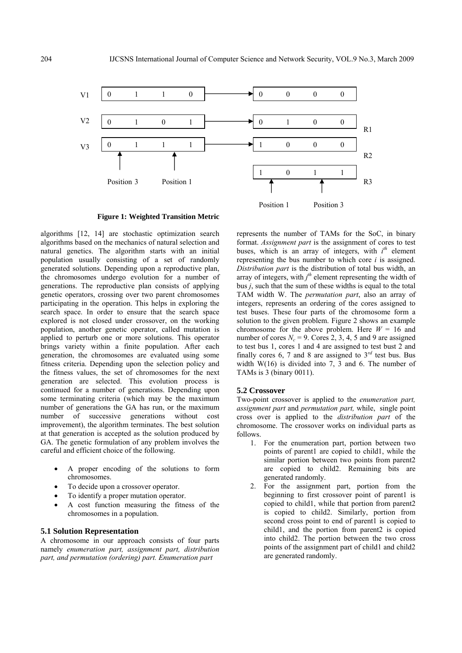

**Figure 1: Weighted Transition Metric** 

algorithms [12, 14] are stochastic optimization search algorithms based on the mechanics of natural selection and natural genetics. The algorithm starts with an initial population usually consisting of a set of randomly generated solutions. Depending upon a reproductive plan, the chromosomes undergo evolution for a number of generations. The reproductive plan consists of applying genetic operators, crossing over two parent chromosomes participating in the operation. This helps in exploring the search space. In order to ensure that the search space explored is not closed under crossover, on the working population, another genetic operator, called mutation is applied to perturb one or more solutions. This operator brings variety within a finite population. After each generation, the chromosomes are evaluated using some fitness criteria. Depending upon the selection policy and the fitness values, the set of chromosomes for the next generation are selected. This evolution process is continued for a number of generations. Depending upon some terminating criteria (which may be the maximum number of generations the GA has run, or the maximum number of successive generations without cost improvement), the algorithm terminates. The best solution at that generation is accepted as the solution produced by GA. The genetic formulation of any problem involves the careful and efficient choice of the following.

- A proper encoding of the solutions to form chromosomes.
- To decide upon a crossover operator.
- To identify a proper mutation operator.
- A cost function measuring the fitness of the chromosomes in a population.

## **5.1 Solution Representation**

A chromosome in our approach consists of four parts namely *enumeration part, assignment part, distribution part, and permutation (ordering) part. Enumeration part*

represents the number of TAMs for the SoC, in binary format. *Assignment part* is the assignment of cores to test buses, which is an array of integers, with  $i<sup>th</sup>$  element representing the bus number to which core *i* is assigned. *Distribution part* is the distribution of total bus width, an array of integers, with  $j<sup>th</sup>$  element representing the width of bus *j*, such that the sum of these widths is equal to the total TAM width W. The *permutation part*, also an array of integers, represents an ordering of the cores assigned to test buses. These four parts of the chromosome form a solution to the given problem. Figure 2 shows an example chromosome for the above problem. Here  $W = 16$  and number of cores  $N_c = 9$ . Cores 2, 3, 4, 5 and 9 are assigned to test bus 1, cores 1 and 4 are assigned to test bust 2 and finally cores 6, 7 and 8 are assigned to  $3^{rd}$  test bus. Bus width W(16) is divided into 7, 3 and 6. The number of TAMs is 3 (binary 0011).

## **5.2 Crossover**

Two-point crossover is applied to the *enumeration part, assignment part* and *permutation part,* while, single point cross over is applied to the *distribution part* of the chromosome. The crossover works on individual parts as follows.

- 1. For the enumeration part, portion between two points of parent1 are copied to child1, while the similar portion between two points from parent2 are copied to child2. Remaining bits are generated randomly.
- 2. For the assignment part, portion from the beginning to first crossover point of parentl is copied to child1, while that portion from parent2 is copied to child2. Similarly, portion from second cross point to end of parent1 is copied to child1, and the portion from parent2 is copied into child2. The portion between the two cross points of the assignment part of child1 and child2 are generated randomly.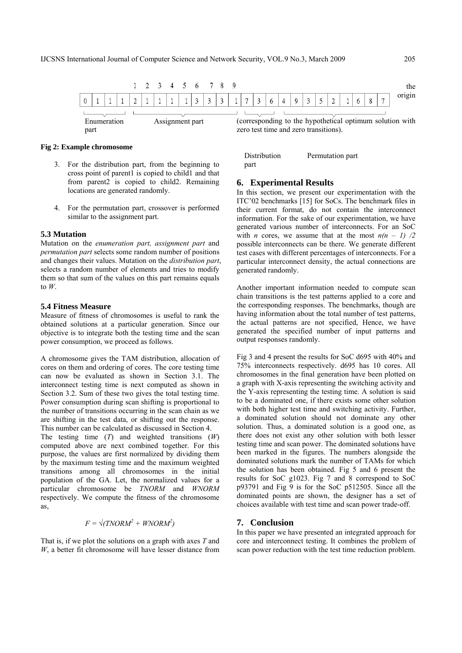

## **Fig 2: Example chromosome**

- 3. For the distribution part, from the beginning to cross point of parent1 is copied to child1 and that from parent2 is copied to child2. Remaining locations are generated randomly.
- 4. For the permutation part, crossover is performed similar to the assignment part.

### **5.3 Mutation**

Mutation on the *enumeration part, assignment part* and *permutation part* selects some random number of positions and changes their values. Mutation on the *distribution part*, selects a random number of elements and tries to modify them so that sum of the values on this part remains equals to *W*.

#### **5.4 Fitness Measure**

Measure of fitness of chromosomes is useful to rank the obtained solutions at a particular generation. Since our objective is to integrate both the testing time and the scan power consumption, we proceed as follows.

A chromosome gives the TAM distribution, allocation of cores on them and ordering of cores. The core testing time can now be evaluated as shown in Section 3.1. The interconnect testing time is next computed as shown in Section 3.2. Sum of these two gives the total testing time. Power consumption during scan shifting is proportional to the number of transitions occurring in the scan chain as we are shifting in the test data, or shifting out the response. This number can be calculated as discussed in Section 4.

The testing time (*T*) and weighted transitions (*W*) computed above are next combined together. For this purpose, the values are first normalized by dividing them by the maximum testing time and the maximum weighted transitions among all chromosomes in the initial population of the GA. Let, the normalized values for a particular chromosome be *TNORM* and *WNORM* respectively. We compute the fitness of the chromosome as,

$$
F = \sqrt{\text{TNORM}^2 + \text{WNORM}^2}
$$

That is, if we plot the solutions on a graph with axes *T* and *W*, a better fit chromosome will have lesser distance from zero test time and zero transitions).

Distribution Permutation part part

# **6. Experimental Results**

In this section, we present our experimentation with the ITC'02 benchmarks [15] for SoCs. The benchmark files in their current format, do not contain the interconnect information. For the sake of our experimentation, we have generated various number of interconnects. For an SoC with *n* cores, we assume that at the most  $n(n - 1)$  /2 possible interconnects can be there. We generate different test cases with different percentages of interconnects. For a particular interconnect density, the actual connections are generated randomly.

Another important information needed to compute scan chain transitions is the test patterns applied to a core and the corresponding responses. The benchmarks, though are having information about the total number of test patterns, the actual patterns are not specified, Hence, we have generated the specified number of input patterns and output responses randomly.

Fig 3 and 4 present the results for SoC d695 with 40% and 75% interconnects respectively. d695 has 10 cores. All chromosomes in the final generation have been plotted on a graph with X-axis representing the switching activity and the Y-axis representing the testing time. A solution is said to be a dominated one, if there exists some other solution with both higher test time and switching activity. Further, a dominated solution should not dominate any other solution. Thus, a dominated solution is a good one, as there does not exist any other solution with both lesser testing time and scan power. The dominated solutions have been marked in the figures. The numbers alongside the dominated solutions mark the number of TAMs for which the solution has been obtained. Fig 5 and 6 present the results for SoC g1023. Fig 7 and 8 correspond to SoC p93791 and Fig 9 is for the SoC p512505. Since all the dominated points are shown, the designer has a set of choices available with test time and scan power trade-off.

## **7. Conclusion**

In this paper we have presented an integrated approach for core and interconnect testing. It combines the problem of scan power reduction with the test time reduction problem.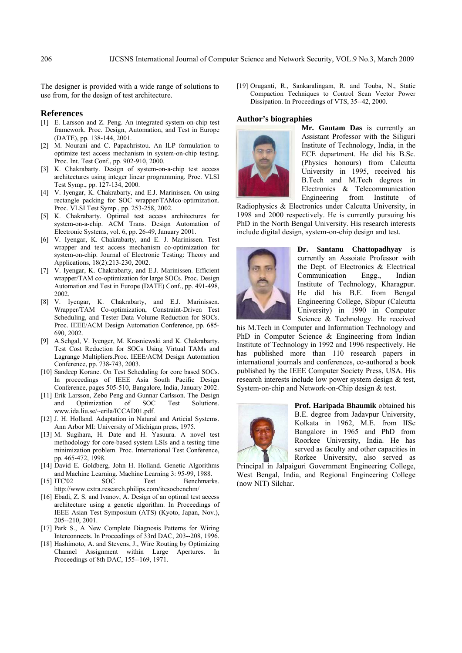The designer is provided with a wide range of solutions to use from, for the design of test architecture.

# **References**

- [1] E. Larsson and Z. Peng. An integrated system-on-chip test framework. Proc. Design, Automation, and Test in Europe (DATE), pp. 138-144, 2001.
- [2] M. Nourani and C. Papachristou. An ILP formulation to optimize test access mechanism in system-on-chip testing. Proc. Int. Test Conf., pp. 902-910, 2000.
- [3] K. Chakrabarty. Design of system-on-a-chip test access architectures using integer linear programming. Proc. VLSI Test Symp., pp. 127-134, 2000.
- [4] V. Iyengar, K. Chakrabarty, and E.J. Marinissen. On using rectangle packing for SOC wrapper/TAMco-optimization. Proc. VLSI Test Symp., pp. 253-258, 2002.
- [5] K. Chakrabarty. Optimal test access architectures for system-on-a-chip. ACM Trans. Design Automation of Electronic Systems, vol. 6, pp. 26-49, January 2001.
- [6] V. Iyengar, K. Chakrabarty, and E. J. Marinissen. Test wrapper and test access mechanism co-optimization for system-on-chip. Journal of Electronic Testing: Theory and Applications, 18(2):213-230, 2002.
- [7] V. Iyengar, K. Chakrabarty, and E.J. Marinissen. Efficient wrapper/TAM co-optimization for large SOCs. Proc. Design Automation and Test in Europe (DATE) Conf., pp. 491-498, 2002.
- [8] V. Iyengar, K. Chakrabarty, and E.J. Marinissen. Wrapper/TAM Co-optimization, Constraint-Driven Test Scheduling, and Tester Data Volume Reduction for SOCs. Proc. IEEE/ACM Design Automation Conference, pp. 685- 690, 2002.
- [9] A.Sehgal, V. Iyenger, M. Krasniewski and K. Chakrabarty. Test Cost Reduction for SOCs Using Virtual TAMs and Lagrange Multipliers.Proc. IEEE/ACM Design Automation Conference, pp. 738-743, 2003.
- [10] Sandeep Korane. On Test Scheduling for core based SOCs. In proceedings of IEEE Asia South Pacific Design Conference, pages 505-510, Bangalore, India, January 2002.
- [11] Erik Larsson, Zebo Peng and Gunnar Carlsson. The Design and Optimization of SOC Test Solutions. www.ida.liu.se/~erila/ICCAD01.pdf.
- [12] J. H. Holland. Adaptation in Natural and Articial Systems. Ann Arbor MI: University of Michigan press, 1975.
- [13] M. Sugihara, H. Date and H. Yasuura. A novel test methodology for core-based system LSIs and a testing time minimization problem. Proc. International Test Conference, pp. 465-472, 1998.
- [14] David E. Goldberg, John H. Holland. Genetic Algorithms and Machine Learning. Machine Learning 3: 95-99, 1988.
- [15] ITC'02 SOC Test Benchmarks. http://www.extra.research.philips.com/itcsocbenchm/
- [16] Ebadi, Z. S. and Ivanov, A. Design of an optimal test access architecture using a genetic algorithm. In Proceedings of IEEE Asian Test Symposium (ATS) (Kyoto, Japan, Nov.), 205--210, 2001.
- [17] Park S., A New Complete Diagnosis Patterns for Wiring Interconnects. In Proceedings of 33rd DAC, 203--208, 1996.
- [18] Hashimoto, A. and Stevens, J., Wire Routing by Optimizing Channel Assignment within Large Apertures. In Proceedings of 8th DAC, 155--169, 1971.

[19] Oruganti, R., Sankaralingam, R. and Touba, N., Static Compaction Techniques to Control Scan Vector Power Dissipation. In Proceedings of VTS, 35--42, 2000.

#### **Author's biographies**



**Mr. Gautam Das** is currently an Assistant Professor with the Siliguri Institute of Technology, India, in the ECE department. He did his B.Sc. (Physics honours) from Calcutta University in 1995, received his B.Tech and M.Tech degrees in Electronics & Telecommunication Engineering from Institute of

Radiophysics & Electronics under Calcutta University, in 1998 and 2000 respectively. He is currently pursuing his PhD in the North Bengal University. His research interests include digital design, system-on-chip design and test.



**Dr. Santanu Chattopadhyay** is currently an Assoiate Professor with the Dept. of Electronics & Electrical Communication Engg., Indian Institute of Technology, Kharagpur. He did his B.E. from Bengal Engineering College, Sibpur (Calcutta University) in 1990 in Computer Science & Technology. He received

his M.Tech in Computer and Information Technology and PhD in Computer Science & Engineering from Indian Institute of Technology in 1992 and 1996 respectively. He has published more than 110 research papers in international journals and conferences, co-authored a book published by the IEEE Computer Society Press, USA. His research interests include low power system design & test, System-on-chip and Network-on-Chip design & test.



**Prof. Haripada Bhaumik** obtained his B.E. degree from Jadavpur University, Kolkata in 1962, M.E. from IISc Bangalore in 1965 and PhD from Roorkee University, India. He has served as faculty and other capacities in Rorkee University, also served as

Principal in Jalpaiguri Government Engineering College, West Bengal, India, and Regional Engineering College (now NIT) Silchar.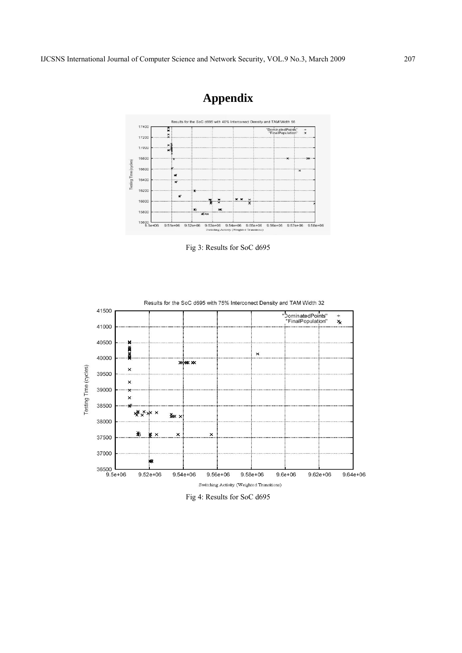

# **Appendix**

Fig 3: Results for SoC d695



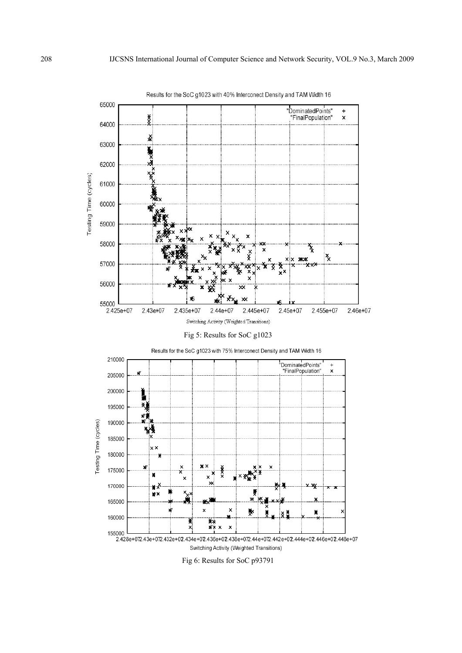Results for the SoC g1023 with 40% Interconect Density and TAM Width 16



Fig 6: Results for SoC p93791